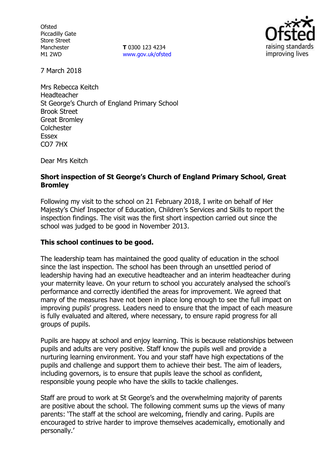**Ofsted** Piccadilly Gate Store Street Manchester M1 2WD

**T** 0300 123 4234 www.gov.uk/ofsted



7 March 2018

Mrs Rebecca Keitch Headteacher St George's Church of England Primary School Brook Street Great Bromley **Colchester** Essex CO7 7HX

Dear Mrs Keitch

## **Short inspection of St George's Church of England Primary School, Great Bromley**

Following my visit to the school on 21 February 2018, I write on behalf of Her Majesty's Chief Inspector of Education, Children's Services and Skills to report the inspection findings. The visit was the first short inspection carried out since the school was judged to be good in November 2013.

## **This school continues to be good.**

The leadership team has maintained the good quality of education in the school since the last inspection. The school has been through an unsettled period of leadership having had an executive headteacher and an interim headteacher during your maternity leave. On your return to school you accurately analysed the school's performance and correctly identified the areas for improvement. We agreed that many of the measures have not been in place long enough to see the full impact on improving pupils' progress. Leaders need to ensure that the impact of each measure is fully evaluated and altered, where necessary, to ensure rapid progress for all groups of pupils.

Pupils are happy at school and enjoy learning. This is because relationships between pupils and adults are very positive. Staff know the pupils well and provide a nurturing learning environment. You and your staff have high expectations of the pupils and challenge and support them to achieve their best. The aim of leaders, including governors, is to ensure that pupils leave the school as confident, responsible young people who have the skills to tackle challenges.

Staff are proud to work at St George's and the overwhelming majority of parents are positive about the school. The following comment sums up the views of many parents: 'The staff at the school are welcoming, friendly and caring. Pupils are encouraged to strive harder to improve themselves academically, emotionally and personally.'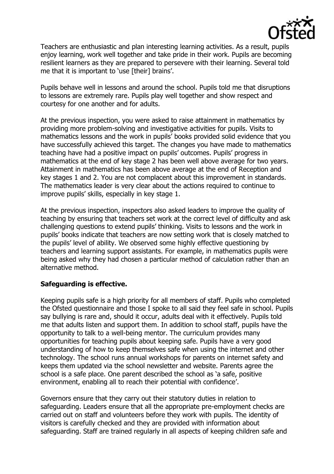

Teachers are enthusiastic and plan interesting learning activities. As a result, pupils enjoy learning, work well together and take pride in their work. Pupils are becoming resilient learners as they are prepared to persevere with their learning. Several told me that it is important to 'use [their] brains'.

Pupils behave well in lessons and around the school. Pupils told me that disruptions to lessons are extremely rare. Pupils play well together and show respect and courtesy for one another and for adults.

At the previous inspection, you were asked to raise attainment in mathematics by providing more problem-solving and investigative activities for pupils. Visits to mathematics lessons and the work in pupils' books provided solid evidence that you have successfully achieved this target. The changes you have made to mathematics teaching have had a positive impact on pupils' outcomes. Pupils' progress in mathematics at the end of key stage 2 has been well above average for two years. Attainment in mathematics has been above average at the end of Reception and key stages 1 and 2. You are not complacent about this improvement in standards. The mathematics leader is very clear about the actions required to continue to improve pupils' skills, especially in key stage 1.

At the previous inspection, inspectors also asked leaders to improve the quality of teaching by ensuring that teachers set work at the correct level of difficulty and ask challenging questions to extend pupils' thinking. Visits to lessons and the work in pupils' books indicate that teachers are now setting work that is closely matched to the pupils' level of ability. We observed some highly effective questioning by teachers and learning support assistants. For example, in mathematics pupils were being asked why they had chosen a particular method of calculation rather than an alternative method.

## **Safeguarding is effective.**

Keeping pupils safe is a high priority for all members of staff. Pupils who completed the Ofsted questionnaire and those I spoke to all said they feel safe in school. Pupils say bullying is rare and, should it occur, adults deal with it effectively. Pupils told me that adults listen and support them. In addition to school staff, pupils have the opportunity to talk to a well-being mentor. The curriculum provides many opportunities for teaching pupils about keeping safe. Pupils have a very good understanding of how to keep themselves safe when using the internet and other technology. The school runs annual workshops for parents on internet safety and keeps them updated via the school newsletter and website. Parents agree the school is a safe place. One parent described the school as 'a safe, positive environment, enabling all to reach their potential with confidence'.

Governors ensure that they carry out their statutory duties in relation to safeguarding. Leaders ensure that all the appropriate pre-employment checks are carried out on staff and volunteers before they work with pupils. The identity of visitors is carefully checked and they are provided with information about safeguarding. Staff are trained regularly in all aspects of keeping children safe and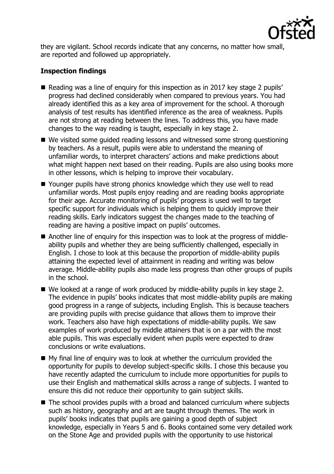

they are vigilant. School records indicate that any concerns, no matter how small, are reported and followed up appropriately.

# **Inspection findings**

- Reading was a line of enguiry for this inspection as in 2017 key stage 2 pupils' progress had declined considerably when compared to previous years. You had already identified this as a key area of improvement for the school. A thorough analysis of test results has identified inference as the area of weakness. Pupils are not strong at reading between the lines. To address this, you have made changes to the way reading is taught, especially in key stage 2.
- We visited some quided reading lessons and witnessed some strong questioning by teachers. As a result, pupils were able to understand the meaning of unfamiliar words, to interpret characters' actions and make predictions about what might happen next based on their reading. Pupils are also using books more in other lessons, which is helping to improve their vocabulary.
- Younger pupils have strong phonics knowledge which they use well to read unfamiliar words. Most pupils enjoy reading and are reading books appropriate for their age. Accurate monitoring of pupils' progress is used well to target specific support for individuals which is helping them to quickly improve their reading skills. Early indicators suggest the changes made to the teaching of reading are having a positive impact on pupils' outcomes.
- Another line of enquiry for this inspection was to look at the progress of middleability pupils and whether they are being sufficiently challenged, especially in English. I chose to look at this because the proportion of middle-ability pupils attaining the expected level of attainment in reading and writing was below average. Middle-ability pupils also made less progress than other groups of pupils in the school.
- We looked at a range of work produced by middle-ability pupils in key stage 2. The evidence in pupils' books indicates that most middle-ability pupils are making good progress in a range of subjects, including English. This is because teachers are providing pupils with precise guidance that allows them to improve their work. Teachers also have high expectations of middle-ability pupils. We saw examples of work produced by middle attainers that is on a par with the most able pupils. This was especially evident when pupils were expected to draw conclusions or write evaluations.
- My final line of enquiry was to look at whether the curriculum provided the opportunity for pupils to develop subject-specific skills. I chose this because you have recently adapted the curriculum to include more opportunities for pupils to use their English and mathematical skills across a range of subjects. I wanted to ensure this did not reduce their opportunity to gain subject skills.
- The school provides pupils with a broad and balanced curriculum where subjects such as history, geography and art are taught through themes. The work in pupils' books indicates that pupils are gaining a good depth of subject knowledge, especially in Years 5 and 6. Books contained some very detailed work on the Stone Age and provided pupils with the opportunity to use historical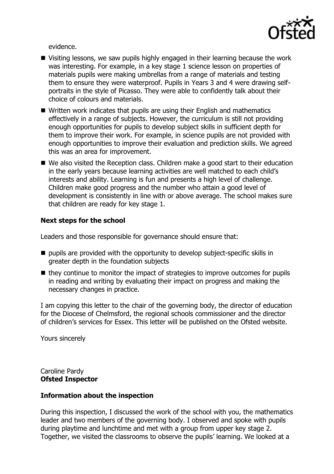

evidence.

- Visiting lessons, we saw pupils highly engaged in their learning because the work was interesting. For example, in a key stage 1 science lesson on properties of materials pupils were making umbrellas from a range of materials and testing them to ensure they were waterproof. Pupils in Years 3 and 4 were drawing selfportraits in the style of Picasso. They were able to confidently talk about their choice of colours and materials.
- Written work indicates that pupils are using their English and mathematics effectively in a range of subjects. However, the curriculum is still not providing enough opportunities for pupils to develop subject skills in sufficient depth for them to improve their work. For example, in science pupils are not provided with enough opportunities to improve their evaluation and prediction skills. We agreed this was an area for improvement.
- We also visited the Reception class. Children make a good start to their education in the early years because learning activities are well matched to each child's interests and ability. Learning is fun and presents a high level of challenge. Children make good progress and the number who attain a good level of development is consistently in line with or above average. The school makes sure that children are ready for key stage 1.

### **Next steps for the school**

Leaders and those responsible for governance should ensure that:

- $\blacksquare$  pupils are provided with the opportunity to develop subject-specific skills in greater depth in the foundation subjects
- $\blacksquare$  they continue to monitor the impact of strategies to improve outcomes for pupils in reading and writing by evaluating their impact on progress and making the necessary changes in practice.

I am copying this letter to the chair of the governing body, the director of education for the Diocese of Chelmsford, the regional schools commissioner and the director of children's services for Essex. This letter will be published on the Ofsted website.

Yours sincerely

Caroline Pardy **Ofsted Inspector**

#### **Information about the inspection**

During this inspection, I discussed the work of the school with you, the mathematics leader and two members of the governing body. I observed and spoke with pupils during playtime and lunchtime and met with a group from upper key stage 2. Together, we visited the classrooms to observe the pupils' learning. We looked at a